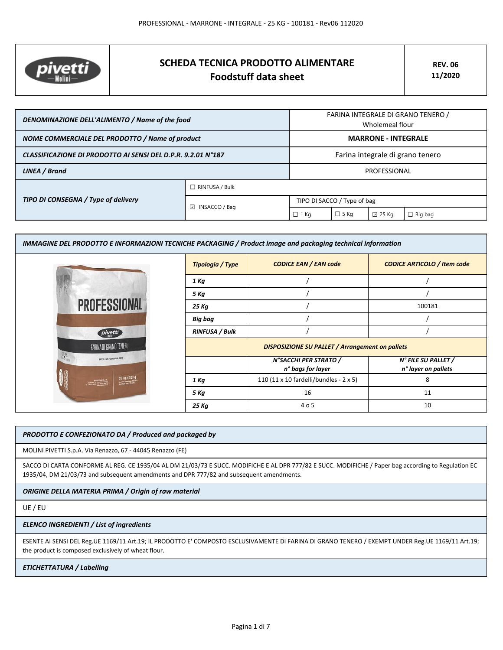

# **SCHEDA TECNICA PRODOTTO ALIMENTARE Foodstuff data sheet**

| DENOMINAZIONE DELL'ALIMENTO / Name of the food               |                         | FARINA INTEGRALE DI GRANO TENERO /<br>Wholemeal flour |             |                 |                |
|--------------------------------------------------------------|-------------------------|-------------------------------------------------------|-------------|-----------------|----------------|
| NOME COMMERCIALE DEL PRODOTTO / Name of product              |                         | <b>MARRONE - INTEGRALE</b>                            |             |                 |                |
| CLASSIFICAZIONE DI PRODOTTO AI SENSI DEL D.P.R. 9.2.01 N°187 |                         | Farina integrale di grano tenero                      |             |                 |                |
| LINEA / Brand                                                |                         | PROFESSIONAL                                          |             |                 |                |
| TIPO DI CONSEGNA / Type of delivery                          | $\Box$ RINFUSA / Bulk   |                                                       |             |                 |                |
|                                                              | $\boxdot$ INSACCO / Bag | TIPO DI SACCO / Type of bag                           |             |                 |                |
|                                                              |                         | $\Box$ 1 Kg                                           | $\Box$ 5 Kg | $\boxdot$ 25 Kg | $\Box$ Big bag |

| IMMAGINE DEL PRODOTTO E INFORMAZIONI TECNICHE PACKAGING / Product image and packaging technical information |                       |                                                        |                                            |  |  |
|-------------------------------------------------------------------------------------------------------------|-----------------------|--------------------------------------------------------|--------------------------------------------|--|--|
|                                                                                                             | Tipologia / Type      | <b>CODICE EAN / EAN code</b>                           | <b>CODICE ARTICOLO / Item code</b>         |  |  |
|                                                                                                             | 1 Kg                  |                                                        |                                            |  |  |
|                                                                                                             | 5 Kg                  |                                                        |                                            |  |  |
| <b>PROFESSIONAL</b>                                                                                         | 25 Kg                 |                                                        | 100181                                     |  |  |
|                                                                                                             | <b>Big bag</b>        |                                                        |                                            |  |  |
| pivetti                                                                                                     | <b>RINFUSA / Bulk</b> |                                                        |                                            |  |  |
| FARINA DI GRANO TENERO                                                                                      |                       | <b>DISPOSIZIONE SU PALLET / Arrangement on pallets</b> |                                            |  |  |
| $\frac{1}{2}$<br>SAPER FAIR FARINA DAL 1875                                                                 |                       | N°SACCHI PER STRATO /<br>n° bags for layer             | N° FILE SU PALLET /<br>n° layer on pallets |  |  |
| 25 kg (55lb)                                                                                                | 1 Kg                  | 110 (11 x 10 fardelli/bundles - 2 x 5)                 | 8                                          |  |  |
|                                                                                                             | 5 Kg                  | 16                                                     | 11                                         |  |  |
|                                                                                                             | 25 Kg                 | 4 o 5                                                  | 10                                         |  |  |

### *PRODOTTO E CONFEZIONATO DA / Produced and packaged by*

MOLINI PIVETTI S.p.A. Via Renazzo, 67 - 44045 Renazzo (FE)

SACCO DI CARTA CONFORME AL REG. CE 1935/04 AL DM 21/03/73 E SUCC. MODIFICHE E AL DPR 777/82 E SUCC. MODIFICHE / Paper bag according to Regulation EC 1935/04, DM 21/03/73 and subsequent amendments and DPR 777/82 and subsequent amendments.

*ORIGINE DELLA MATERIA PRIMA / Origin of raw material*

UE / EU

#### *ELENCO INGREDIENTI / List of ingredients*

ESENTE AI SENSI DEL Reg.UE 1169/11 Art.19; IL PRODOTTO E' COMPOSTO ESCLUSIVAMENTE DI FARINA DI GRANO TENERO / EXEMPT UNDER Reg.UE 1169/11 Art.19; the product is composed exclusively of wheat flour.

## *ETICHETTATURA / Labelling*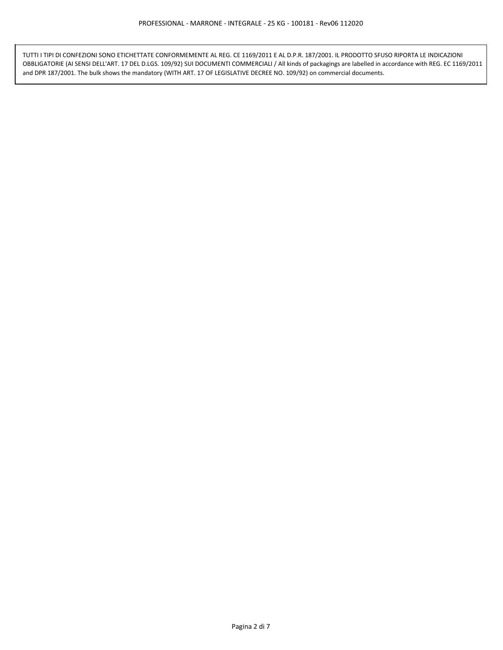TUTTI I TIPI DI CONFEZIONI SONO ETICHETTATE CONFORMEMENTE AL REG. CE 1169/2011 E AL D.P.R. 187/2001. IL PRODOTTO SFUSO RIPORTA LE INDICAZIONI OBBLIGATORIE (AI SENSI DELL'ART. 17 DEL D.LGS. 109/92) SUI DOCUMENTI COMMERCIALI / All kinds of packagings are labelled in accordance with REG. EC 1169/2011 and DPR 187/2001. The bulk shows the mandatory (WITH ART. 17 OF LEGISLATIVE DECREE NO. 109/92) on commercial documents.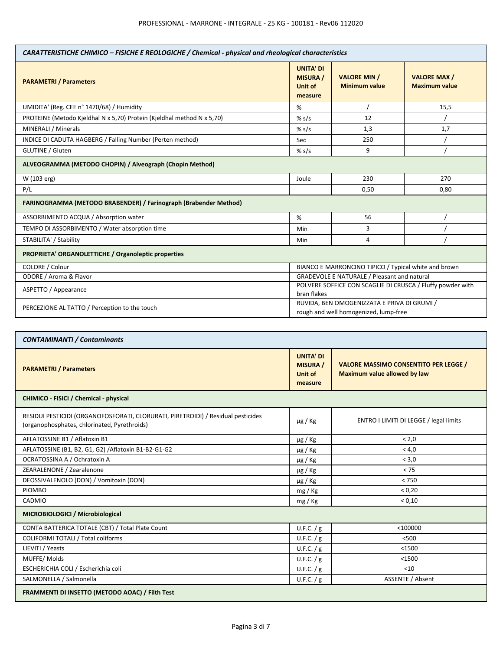| CARATTERISTICHE CHIMICO - FISICHE E REOLOGICHE / Chemical - physical and rheological characteristics |                                                                                      |                                             |                                            |
|------------------------------------------------------------------------------------------------------|--------------------------------------------------------------------------------------|---------------------------------------------|--------------------------------------------|
| <b>PARAMETRI / Parameters</b>                                                                        | <b>UNITA' DI</b><br><b>MISURA /</b><br>Unit of<br>measure                            | <b>VALORE MIN /</b><br><b>Minimum value</b> | <b>VALORE MAX/</b><br><b>Maximum value</b> |
| UMIDITA' (Reg. CEE n° 1470/68) / Humidity                                                            | %                                                                                    |                                             | 15,5                                       |
| PROTEINE (Metodo Kjeldhal N x 5,70) Protein (Kjeldhal method N x 5,70)                               | % s/s                                                                                | 12                                          |                                            |
| MINERALI / Minerals                                                                                  | % s/s                                                                                | 1,3                                         | 1,7                                        |
| INDICE DI CADUTA HAGBERG / Falling Number (Perten method)                                            | Sec                                                                                  | 250                                         |                                            |
| GLUTINE / Gluten                                                                                     | % s/s                                                                                | 9                                           |                                            |
| ALVEOGRAMMA (METODO CHOPIN) / Alveograph (Chopin Method)                                             |                                                                                      |                                             |                                            |
| W (103 erg)                                                                                          | Joule                                                                                | 230                                         | 270                                        |
| P/L                                                                                                  |                                                                                      | 0,50                                        | 0,80                                       |
| FARINOGRAMMA (METODO BRABENDER) / Farinograph (Brabender Method)                                     |                                                                                      |                                             |                                            |
| ASSORBIMENTO ACQUA / Absorption water                                                                | %                                                                                    | 56                                          |                                            |
| TEMPO DI ASSORBIMENTO / Water absorption time                                                        | Min                                                                                  | 3                                           |                                            |
| STABILITA' / Stability                                                                               | Min                                                                                  | 4                                           |                                            |
| <b>PROPRIETA' ORGANOLETTICHE / Organoleptic properties</b>                                           |                                                                                      |                                             |                                            |
| COLORE / Colour                                                                                      | BIANCO E MARRONCINO TIPICO / Typical white and brown                                 |                                             |                                            |
| ODORE / Aroma & Flavor                                                                               | <b>GRADEVOLE E NATURALE / Pleasant and natural</b>                                   |                                             |                                            |
| ASPETTO / Appearance                                                                                 | POLVERE SOFFICE CON SCAGLIE DI CRUSCA / Fluffy powder with<br>bran flakes            |                                             |                                            |
| PERCEZIONE AL TATTO / Perception to the touch                                                        | RUVIDA, BEN OMOGENIZZATA E PRIVA DI GRUMI /<br>rough and well homogenized, lump-free |                                             |                                            |

| <b>CONTAMINANTI / Contaminants</b>                                                                                               |                                                                  |                                                                                     |  |
|----------------------------------------------------------------------------------------------------------------------------------|------------------------------------------------------------------|-------------------------------------------------------------------------------------|--|
| <b>PARAMETRI / Parameters</b>                                                                                                    | <b>UNITA' DI</b><br><b>MISURA</b> /<br><b>Unit of</b><br>measure | <b>VALORE MASSIMO CONSENTITO PER LEGGE /</b><br><b>Maximum value allowed by law</b> |  |
| CHIMICO - FISICI / Chemical - physical                                                                                           |                                                                  |                                                                                     |  |
| RESIDUI PESTICIDI (ORGANOFOSFORATI, CLORURATI, PIRETROIDI) / Residual pesticides<br>(organophosphates, chlorinated, Pyrethroids) | $\mu$ g / Kg                                                     | ENTRO I LIMITI DI LEGGE / legal limits                                              |  |
| AFLATOSSINE B1 / Aflatoxin B1                                                                                                    | $\mu$ g / Kg                                                     | < 2.0                                                                               |  |
| AFLATOSSINE (B1, B2, G1, G2) / Aflatoxin B1-B2-G1-G2                                                                             | $\mu$ g / Kg                                                     | < 4.0                                                                               |  |
| OCRATOSSINA A / Ochratoxin A                                                                                                     | $\mu$ g / Kg                                                     | < 3.0                                                                               |  |
| ZEARALENONE / Zearalenone                                                                                                        | $\mu$ g / Kg                                                     | < 75                                                                                |  |
| DEOSSIVALENOLO (DON) / Vomitoxin (DON)                                                                                           | µg / Kg                                                          | < 750                                                                               |  |
| <b>PIOMBO</b>                                                                                                                    | mg / Kg                                                          | < 0.20                                                                              |  |
| CADMIO                                                                                                                           | mg / Kg                                                          | < 0.10                                                                              |  |
| MICROBIOLOGICI / Microbiological                                                                                                 |                                                                  |                                                                                     |  |
| CONTA BATTERICA TOTALE (CBT) / Total Plate Count                                                                                 | U.F.C. / g                                                       | $<$ 100000                                                                          |  |
| COLIFORMI TOTALI / Total coliforms                                                                                               | U.F.C. / g                                                       | $<$ 500                                                                             |  |
| LIEVITI / Yeasts                                                                                                                 | U.F.C. / g                                                       | $<$ 1500                                                                            |  |
| MUFFE/Molds                                                                                                                      | U.F.C. $/g$                                                      | $<$ 1500                                                                            |  |
| ESCHERICHIA COLI / Escherichia coli                                                                                              | U.F.C. / g                                                       | $<$ 10                                                                              |  |
| SALMONELLA / Salmonella                                                                                                          | U.F.C. / g                                                       | <b>ASSENTE / Absent</b>                                                             |  |
| FRAMMENTI DI INSETTO (METODO AOAC) / Filth Test                                                                                  |                                                                  |                                                                                     |  |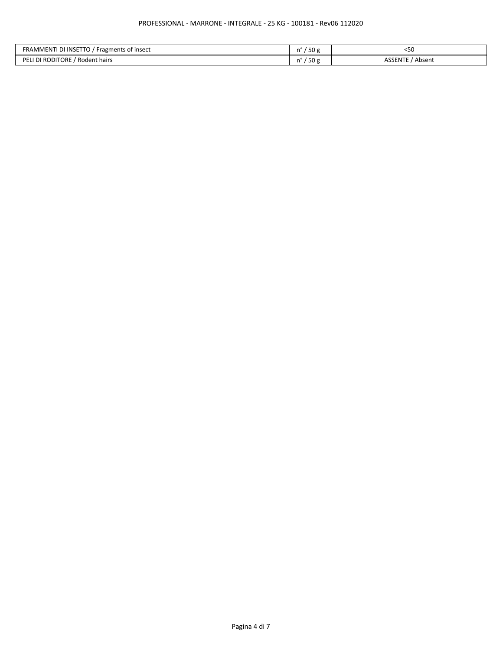| . או INSETT<br><b>FRAMMENT</b><br>Fragments of insect<br>. | $-\sim$<br>οU<br>     | ンピパ<br>ヽノぃ        |
|------------------------------------------------------------|-----------------------|-------------------|
| <b>PELI DI RODITORE</b><br>Rodent hairs                    | $ -$<br><b>JU</b><br> | ASSENTE<br>Absent |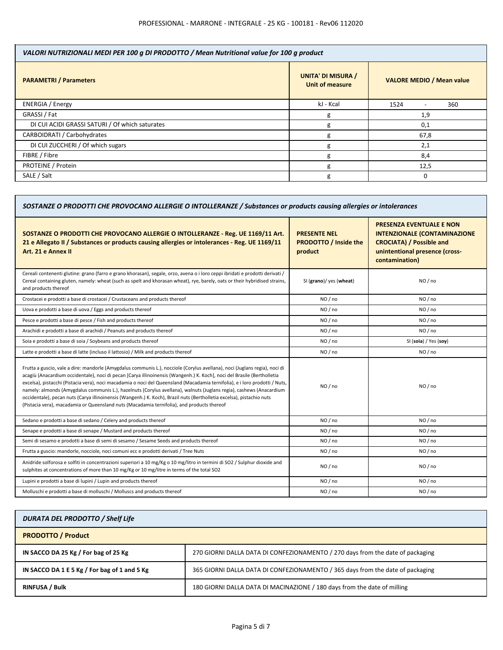| VALORI NUTRIZIONALI MEDI PER 100 g DI PRODOTTO / Mean Nutritional value for 100 g product |                                                     |                                         |  |
|-------------------------------------------------------------------------------------------|-----------------------------------------------------|-----------------------------------------|--|
| <b>PARAMETRI / Parameters</b>                                                             | <b>UNITA' DI MISURA /</b><br><b>Unit of measure</b> | <b>VALORE MEDIO / Mean value</b>        |  |
| <b>ENERGIA</b> / Energy                                                                   | kJ - Kcal                                           | 1524<br>360<br>$\overline{\phantom{0}}$ |  |
| GRASSI / Fat                                                                              | g                                                   | 1,9                                     |  |
| DI CUI ACIDI GRASSI SATURI / Of which saturates                                           | g                                                   | 0,1                                     |  |
| CARBOIDRATI / Carbohydrates                                                               | g                                                   | 67,8                                    |  |
| DI CUI ZUCCHERI / Of which sugars                                                         |                                                     | 2,1                                     |  |
| FIBRE / Fibre                                                                             |                                                     | 8,4                                     |  |
| <b>PROTEINE / Protein</b>                                                                 | g                                                   | 12,5                                    |  |
| SALE / Salt                                                                               | g                                                   | $\Omega$                                |  |

| SOSTANZE O PRODOTTI CHE PROVOCANO ALLERGIE O INTOLLERANZE / Substances or products causing allergies or intolerances                                                                                                                                                                                                                                                                                                                                                                                                                                                                                                                                                                                                               |                                                                |                                                                                                                                                               |  |
|------------------------------------------------------------------------------------------------------------------------------------------------------------------------------------------------------------------------------------------------------------------------------------------------------------------------------------------------------------------------------------------------------------------------------------------------------------------------------------------------------------------------------------------------------------------------------------------------------------------------------------------------------------------------------------------------------------------------------------|----------------------------------------------------------------|---------------------------------------------------------------------------------------------------------------------------------------------------------------|--|
| SOSTANZE O PRODOTTI CHE PROVOCANO ALLERGIE O INTOLLERANZE - Reg. UE 1169/11 Art.<br>21 e Allegato II / Substances or products causing allergies or intolerances - Reg. UE 1169/11<br>Art. 21 e Annex II                                                                                                                                                                                                                                                                                                                                                                                                                                                                                                                            | <b>PRESENTE NEL</b><br><b>PRODOTTO / Inside the</b><br>product | <b>PRESENZA EVENTUALE E NON</b><br><b>INTENZIONALE (CONTAMINAZIONE</b><br><b>CROCIATA) / Possible and</b><br>unintentional presence (cross-<br>contamination) |  |
| Cereali contenenti glutine: grano (farro e grano khorasan), segale, orzo, avena o i loro ceppi ibridati e prodotti derivati /<br>Cereal containing gluten, namely: wheat (such as spelt and khorasan wheat), rye, barely, oats or their hybridised strains,<br>and products thereof                                                                                                                                                                                                                                                                                                                                                                                                                                                | SI (grano)/ yes (wheat)                                        | NO / no                                                                                                                                                       |  |
| Crostacei e prodotti a base di crostacei / Crustaceans and products thereof                                                                                                                                                                                                                                                                                                                                                                                                                                                                                                                                                                                                                                                        | NO/no                                                          | NO/no                                                                                                                                                         |  |
| Uova e prodotti a base di uova / Eggs and products thereof                                                                                                                                                                                                                                                                                                                                                                                                                                                                                                                                                                                                                                                                         | NO/no                                                          | NO/no                                                                                                                                                         |  |
| Pesce e prodotti a base di pesce / Fish and products thereof                                                                                                                                                                                                                                                                                                                                                                                                                                                                                                                                                                                                                                                                       | NO/no                                                          | NO / no                                                                                                                                                       |  |
| Arachidi e prodotti a base di arachidi / Peanuts and products thereof                                                                                                                                                                                                                                                                                                                                                                                                                                                                                                                                                                                                                                                              | NO/no                                                          | NO/no                                                                                                                                                         |  |
| Soia e prodotti a base di soia / Soybeans and products thereof                                                                                                                                                                                                                                                                                                                                                                                                                                                                                                                                                                                                                                                                     | NO/no                                                          | SI (soia) / Yes (soy)                                                                                                                                         |  |
| Latte e prodotti a base di latte (incluso il lattosio) / Milk and products thereof                                                                                                                                                                                                                                                                                                                                                                                                                                                                                                                                                                                                                                                 | NO/no                                                          | NO/no                                                                                                                                                         |  |
| Frutta a guscio, vale a dire: mandorle (Amygdalus communis L.), nocciole (Corylus avellana), noci (Juglans regia), noci di<br>acagiù (Anacardium occidentale), noci di pecan [Carya illinoinensis (Wangenh.) K. Koch], noci del Brasile (Bertholletia<br>excelsa), pistacchi (Pistacia vera), noci macadamia o noci del Queensland (Macadamia ternifolia), e i loro prodotti / Nuts,<br>namely: almonds (Amygdalus communis L.), hazelnuts (Corylus avellana), walnuts (Juglans regia), cashews (Anacardium<br>occidentale), pecan nuts (Carya illinoinensis (Wangenh.) K. Koch), Brazil nuts (Bertholletia excelsa), pistachio nuts<br>(Pistacia vera), macadamia or Queensland nuts (Macadamia ternifolia), and products thereof | NO/no                                                          | NO / no                                                                                                                                                       |  |
| Sedano e prodotti a base di sedano / Celery and products thereof                                                                                                                                                                                                                                                                                                                                                                                                                                                                                                                                                                                                                                                                   | NO/no                                                          | NO / no                                                                                                                                                       |  |
| Senape e prodotti a base di senape / Mustard and products thereof                                                                                                                                                                                                                                                                                                                                                                                                                                                                                                                                                                                                                                                                  | NO/no                                                          | NO / no                                                                                                                                                       |  |
| Semi di sesamo e prodotti a base di semi di sesamo / Sesame Seeds and products thereof                                                                                                                                                                                                                                                                                                                                                                                                                                                                                                                                                                                                                                             | NO/no                                                          | NO/no                                                                                                                                                         |  |
| Frutta a guscio: mandorle, nocciole, noci comuni ecc e prodotti derivati / Tree Nuts                                                                                                                                                                                                                                                                                                                                                                                                                                                                                                                                                                                                                                               | NO/no                                                          | NO / no                                                                                                                                                       |  |
| Anidride solforosa e solfiti in concentrazioni superiori a 10 mg/Kg o 10 mg/litro in termini di SO2 / Sulphur dioxide and<br>sulphites at concentrations of more than 10 mg/Kg or 10 mg/litre in terms of the total SO2                                                                                                                                                                                                                                                                                                                                                                                                                                                                                                            | NO/no                                                          | NO / no                                                                                                                                                       |  |
| Lupini e prodotti a base di lupini / Lupin and products thereof                                                                                                                                                                                                                                                                                                                                                                                                                                                                                                                                                                                                                                                                    | NO/no                                                          | NO/no                                                                                                                                                         |  |
| Molluschi e prodotti a base di molluschi / Molluscs and products thereof                                                                                                                                                                                                                                                                                                                                                                                                                                                                                                                                                                                                                                                           | NO/no                                                          | NO/no                                                                                                                                                         |  |
|                                                                                                                                                                                                                                                                                                                                                                                                                                                                                                                                                                                                                                                                                                                                    |                                                                |                                                                                                                                                               |  |

| DURATA DEL PRODOTTO / Shelf Life             |                                                                                |
|----------------------------------------------|--------------------------------------------------------------------------------|
| <b>PRODOTTO / Product</b>                    |                                                                                |
| IN SACCO DA 25 Kg / For bag of 25 Kg         | 270 GIORNI DALLA DATA DI CONFEZIONAMENTO / 270 days from the date of packaging |
| IN SACCO DA 1 E 5 Kg / For bag of 1 and 5 Kg | 365 GIORNI DALLA DATA DI CONFEZIONAMENTO / 365 days from the date of packaging |
| <b>RINFUSA / Bulk</b>                        | 180 GIORNI DALLA DATA DI MACINAZIONE / 180 days from the date of milling       |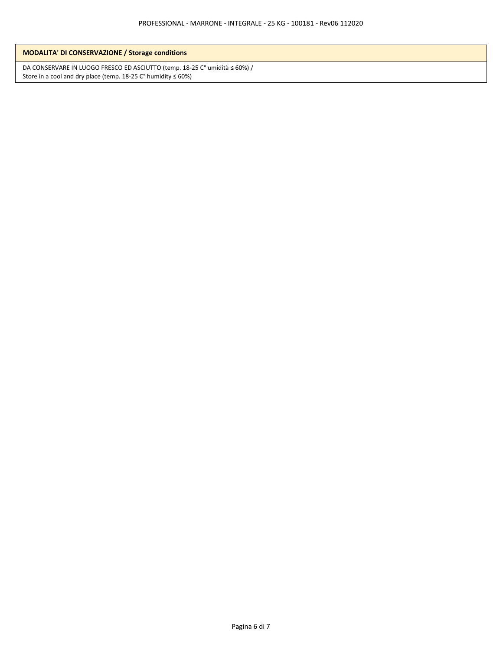DA CONSERVARE IN LUOGO FRESCO ED ASCIUTTO (temp. 18-25 C° umidità ≤ 60%) / Store in a cool and dry place (temp. 18-25  $C^{\circ}$  humidity  $\leq 60\%)$